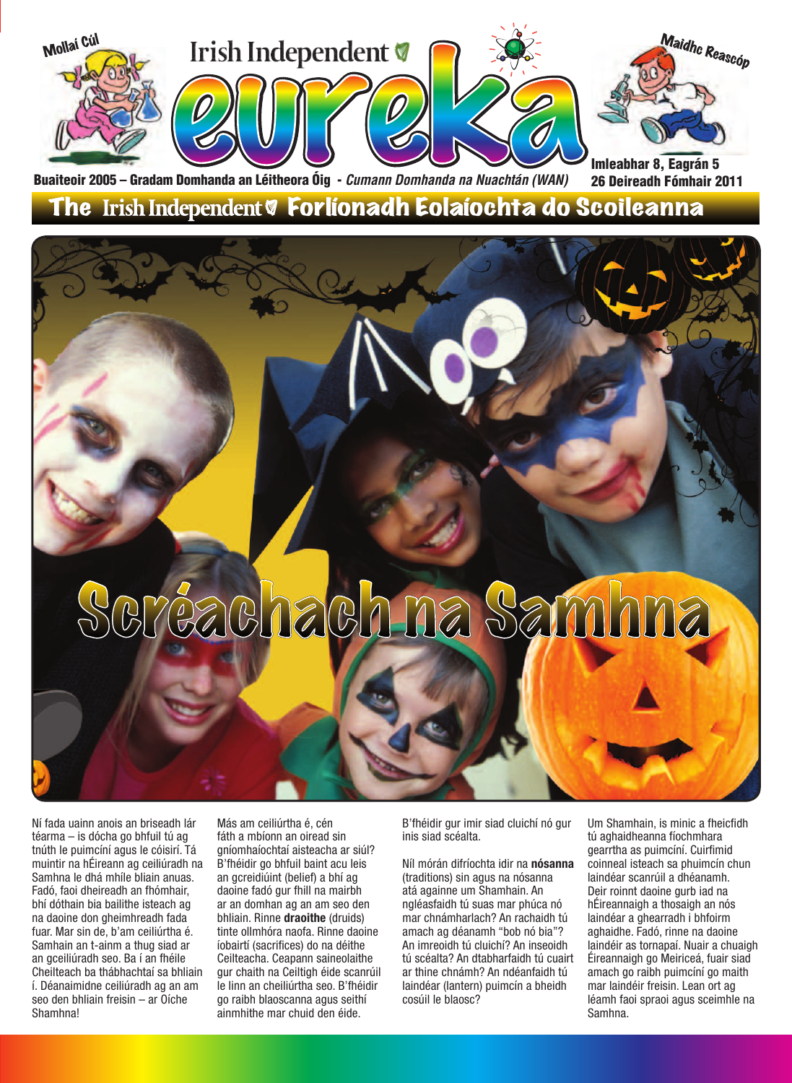

### The Irish Independent & Forlíonadh Eolaíochta do Scoileanna

# Scréachach na Samhna

Ní fada uainn anois an briseadh lár téarma – is dócha go bhfuil tú ag tnúth le puimcíní agus le cóisirí. Tá muintir na hÉireann ag ceiliúradh na Samhna le dhá mhíle bliain anuas. Fadó, faoi dheireadh an fhómhair, bhí dóthain bia bailithe isteach ag na daoine don gheimhreadh fada fuar. Mar sin de, b'am ceiliúrtha é. Samhain an t-ainm a thug siad ar an gceiliúradh seo. Ba í an fhéile Cheilteach ba thábhachtaí sa bhliain í. Déanaimidne ceiliúradh ag an am seo den bhliain freisin – ar Oíche Shamhna!

Más am ceiliúrtha é, cén fáth a mbíonn an oiread sin gníomhaíochtaí aisteacha ar siúl? B'fhéidir go bhfuil baint acu leis an gcreidiúint (belief) a bhí ag daoine fadó gur fhill na mairbh ar an domhan ag an am seo den bhliain. Rinne **draoithe** (druids) tinte ollmhóra naofa. Rinne daoine íobairtí (sacrifices) do na déithe Ceilteacha. Ceapann saineolaithe gur chaith na Ceiltigh éide scanrúil le linn an cheiliúrtha seo. B'fhéidir go raibh blaoscanna agus seithí ainmhithe mar chuid den éide.

B'fhéidir gur imir siad cluichí nó gur inis siad scéalta.

Níl mórán difríochta idir na **nósanna** (traditions) sin agus na nósanna atá againne um Shamhain. An ngléasfaidh tú suas mar phúca nó mar chnámharlach? An rachaidh tú amach ag déanamh "bob nó bia"? An imreoidh tú cluichí? An inseoidh tú scéalta? An dtabharfaidh tú cuairt ar thine chnámh? An ndéanfaidh tú laindéar (lantern) puimcín a bheidh cosúil le blaosc?

Um Shamhain, is minic a fheicfidh tú aghaidheanna fíochmhara gearrtha as puimcíní. Cuirfimid coinneal isteach sa phuimcín chun laindéar scanrúil a dhéanamh. Deir roinnt daoine gurb iad na hÉireannaigh a thosaigh an nós laindéar a ghearradh i bhfoirm aghaidhe. Fadó, rinne na daoine laindéir as tornapaí. Nuair a chuaigh Éireannaigh go Meiriceá, fuair siad amach go raibh puimcíní go maith mar laindéir freisin. Lean ort ag léamh faoi spraoi agus sceimhle na Samhna.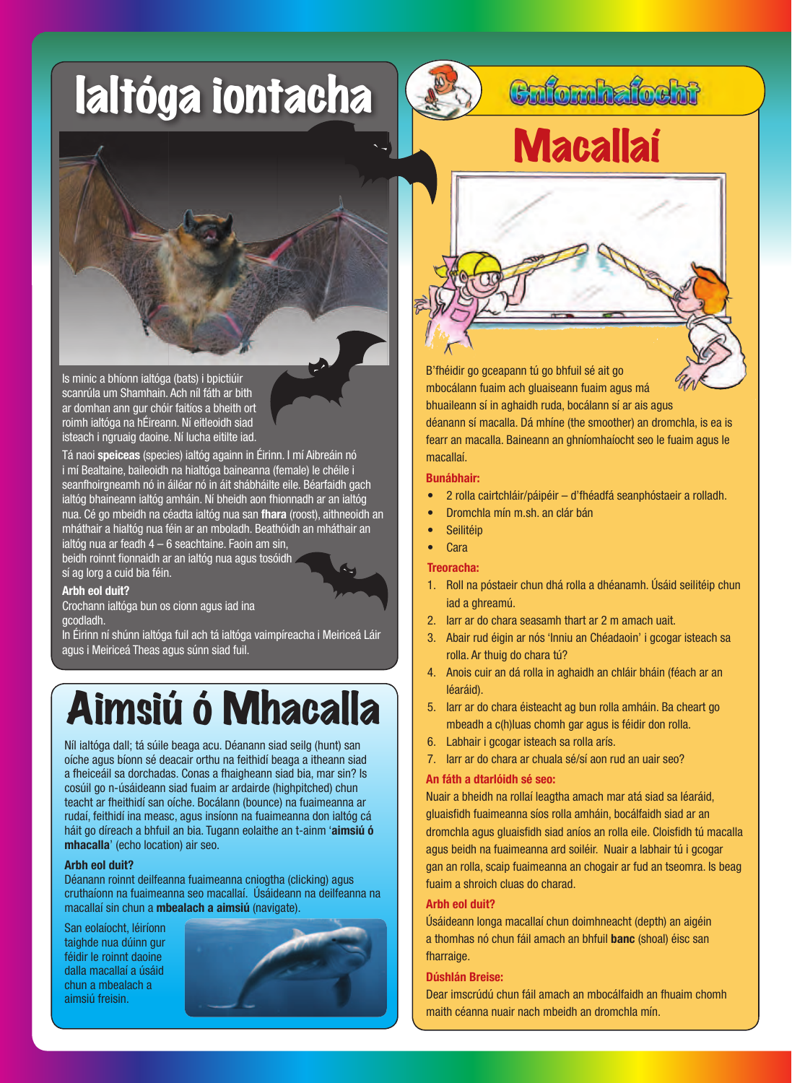# Ialtóga iontacha



### Cufombafocht



Is minic a bhíonn ialtóga (bats) i bpictiúir scanrúla um Shamhain. Ach níl fáth ar bith ar domhan ann gur chóir faitíos a bheith ort roimh ialtóga na hÉireann. Ní eitleoidh siad isteach i ngruaig daoine. Ní lucha eitilte iad.

Tá naoi **speiceas** (species) ialtóg againn in Éirinn. I mí Aibreáin nó i mí Bealtaine, baileoidh na hialtóga baineanna (female) le chéile i seanfhoirgneamh nó in áiléar nó in áit shábháilte eile. Béarfaidh gach ialtóg bhaineann ialtóg amháin. Ní bheidh aon fhionnadh ar an ialtóg nua. Cé go mbeidh na céadta ialtóg nua san **fhara** (roost), aithneoidh an mháthair a hialtóg nua féin ar an mboladh. Beathóidh an mháthair an ialtóg nua ar feadh 4 – 6 seachtaine. Faoin am sin, beidh roinnt fionnaidh ar an ialtóg nua agus tosóidh

sí ag lorg a cuid bia féin.

#### **Arbh eol duit?**

Crochann ialtóga bun os cionn agus iad ina gcodladh.

In Éirinn ní shúnn ialtóga fuil ach tá ialtóga vaimpíreacha i Meiriceá Láir agus i Meiriceá Theas agus súnn siad fuil.

### Aimsiú ó Mhacalla

Níl ialtóga dall; tá súile beaga acu. Déanann siad seilg (hunt) san oíche agus bíonn sé deacair orthu na feithidí beaga a itheann siad a fheiceáil sa dorchadas. Conas a fhaigheann siad bia, mar sin? Is cosúil go n-úsáideann siad fuaim ar ardairde (highpitched) chun teacht ar fheithidí san oíche. Bocálann (bounce) na fuaimeanna ar rudaí, feithidí ina measc, agus insíonn na fuaimeanna don ialtóg cá háit go díreach a bhfuil an bia. Tugann eolaithe an t-ainm '**aimsiú ó mhacalla**' (echo location) air seo.

#### **Arbh eol duit?**

Déanann roinnt deilfeanna fuaimeanna cniogtha (clicking) agus cruthaíonn na fuaimeanna seo macallaí. Úsáideann na deilfeanna na macallaí sin chun a **mbealach a aimsiú** (navigate).

San eolaíocht, léiríonn taighde nua dúinn gur féidir le roinnt daoine dalla macallaí a úsáid chun a mbealach a aimsiú freisin.



B'fhéidir go gceapann tú go bhfuil sé ait go mbocálann fuaim ach gluaiseann fuaim agus má bhuaileann sí in aghaidh ruda, bocálann sí ar ais agus déanann sí macalla. Dá mhíne (the smoother) an dromchla, is ea is fearr an macalla. Baineann an ghníomhaíocht seo le fuaim agus le macallaí.

#### **Bunábhair:**

- 2 rolla cairtchláir/páipéir d'fhéadfá seanphóstaeir a rolladh.
- Dromchla mín m.sh. an clár bán
- **Seilitéip**
- **Cara**

#### **Treoracha:**

- 1. Roll na póstaeir chun dhá rolla a dhéanamh. Úsáid seilitéip chun iad a ghreamú.
- 2. Iarr ar do chara seasamh thart ar 2 m amach uait.
- 3. Abair rud éigin ar nós 'Inniu an Chéadaoin' i gcogar isteach sa rolla. Ar thuig do chara tú?
- 4. Anois cuir an dá rolla in aghaidh an chláir bháin (féach ar an léaráid).
- 5. Iarr ar do chara éisteacht ag bun rolla amháin. Ba cheart go mbeadh a c(h)luas chomh gar agus is féidir don rolla.
- 6. Labhair i gcogar isteach sa rolla arís.
- 7. Iarr ar do chara ar chuala sé/sí aon rud an uair seo?

#### **An fáth a dtarlóidh sé seo:**

Nuair a bheidh na rollaí leagtha amach mar atá siad sa léaráid, gluaisfidh fuaimeanna síos rolla amháin, bocálfaidh siad ar an dromchla agus gluaisfidh siad aníos an rolla eile. Cloisfidh tú macalla agus beidh na fuaimeanna ard soiléir. Nuair a labhair tú i gcogar gan an rolla, scaip fuaimeanna an chogair ar fud an tseomra. Is beag fuaim a shroich cluas do charad.

#### **Arbh eol duit?**

Úsáideann longa macallaí chun doimhneacht (depth) an aigéin a thomhas nó chun fáil amach an bhfuil **banc** (shoal) éisc san fharraige.

#### **Dúshlán Breise:**

Dear imscrúdú chun fáil amach an mbocálfaidh an fhuaim chomh maith céanna nuair nach mbeidh an dromchla mín.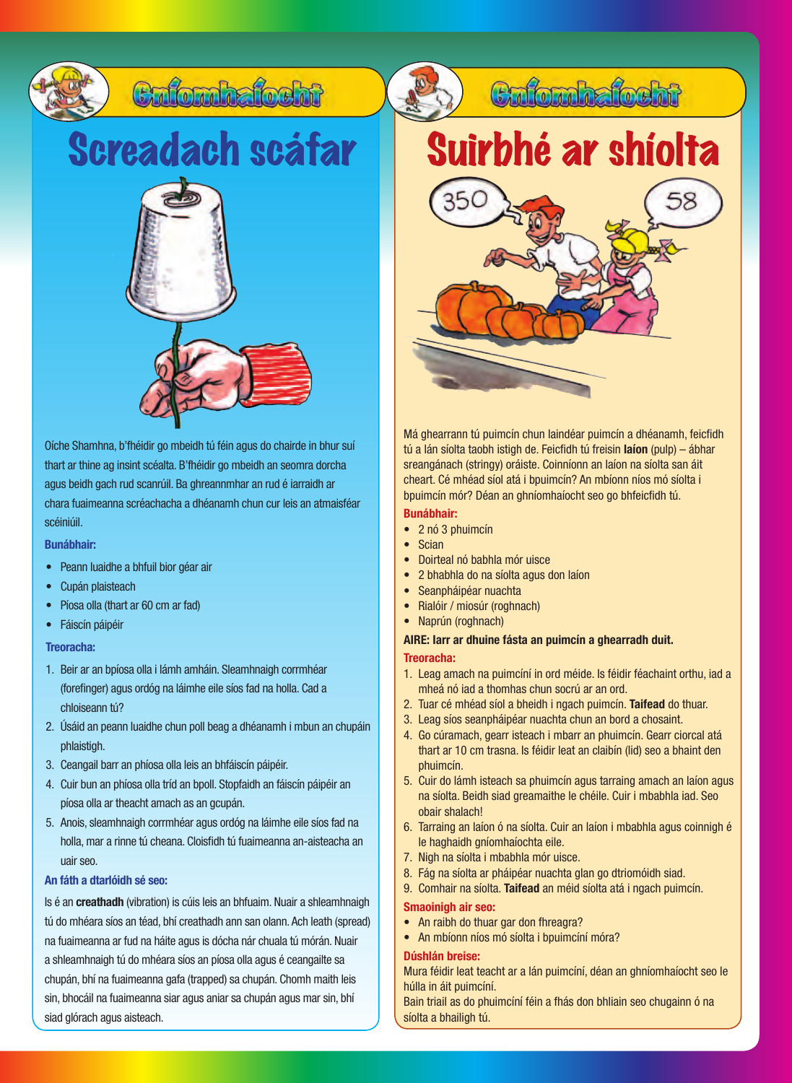

Oíche Shamhna, b'fhéidir go mbeidh tú féin agus do chairde in bhur suí thart ar thine ag insint scéalta. B'fhéidir go mbeidh an seomra dorcha agus beidh gach rud scanrúil. Ba ghreannmhar an rud é iarraidh ar chara fuaimeanna scréachacha a dhéanamh chun cur leis an atmaisféar scéiniúil.

**Bunábhair:**

- Peann luaidhe a bhfuil bior géar air
- Cupán plaisteach
- Píosa olla (thart ar 60 cm ar fad)
- Fáiscín páipéir

#### **Treoracha:**

- 1. Beir ar an bpíosa olla i lámh amháin. Sleamhnaigh corrmhéar (forefinger) agus ordóg na láimhe eile síos fad na holla. Cad a chloiseann tú?
- 2. Úsáid an peann luaidhe chun poll beag a dhéanamh i mbun an chupáin phlaistigh.
- 3. Ceangail barr an phíosa olla leis an bhfáiscín páipéir.
- 4. Cuir bun an phíosa olla tríd an bpoll. Stopfaidh an fáiscín páipéir an píosa olla ar theacht amach as an gcupán.
- 5. Anois, sleamhnaigh corrmhéar agus ordóg na láimhe eile síos fad na holla, mar a rinne tú cheana. Cloisfidh tú fuaimeanna an-aisteacha an uair seo.

#### **An fáth a dtarlóidh sé seo:**

Is é an **creathadh** (vibration) is cúis leis an bhfuaim. Nuair a shleamhnaigh tú do mhéara síos an téad, bhí creathadh ann san olann. Ach leath (spread) na fuaimeanna ar fud na háite agus is dócha nár chuala tú mórán. Nuair a shleamhnaigh tú do mhéara síos an píosa olla agus é ceangailte sa chupán, bhí na fuaimeanna gafa (trapped) sa chupán. Chomh maith leis sin, bhocáil na fuaimeanna siar agus aniar sa chupán agus mar sin, bhí siad glórach agus aisteach.

Suirbhé ar shíolta

Culombalosht



Má ghearrann tú puimcín chun laindéar puimcín a dhéanamh, feicfidh tú a lán síolta taobh istigh de. Feicfidh tú freisin **laíon** (pulp) – ábhar sreangánach (stringy) oráiste. Coinníonn an laíon na síolta san áit cheart. Cé mhéad síol atá i bpuimcín? An mbíonn níos mó síolta i bpuimcín mór? Déan an ghníomhaíocht seo go bhfeicfidh tú.

#### **Bunábhair:**

- 2 nó 3 phuimcín
- Scian
- Doirteal nó babhla mór uisce
- 2 bhabhla do na síolta agus don laíon
- Seanpháipéar nuachta
- Rialóir / miosúr (roghnach)
- Naprún (roghnach)

#### **AIRE: Iarr ar dhuine fásta an puimcín a ghearradh duit.**

#### **Treoracha:**

- 1. Leag amach na puimcíní in ord méide. Is féidir féachaint orthu, iad a mheá nó iad a thomhas chun socrú ar an ord.
- 2. Tuar cé mhéad síol a bheidh i ngach puimcín. **Taifead** do thuar.
- 3. Leag síos seanpháipéar nuachta chun an bord a chosaint.
- 4. Go cúramach, gearr isteach i mbarr an phuimcín. Gearr ciorcal atá thart ar 10 cm trasna. Is féidir leat an claibín (lid) seo a bhaint den phuimcín.
- 5. Cuir do lámh isteach sa phuimcín agus tarraing amach an laíon agus na síolta. Beidh siad greamaithe le chéile. Cuir i mbabhla iad. Seo obair shalach!
- 6. Tarraing an laíon ó na síolta. Cuir an laíon i mbabhla agus coinnigh é le haghaidh gníomhaíochta eile.
- 7. Nigh na síolta i mbabhla mór uisce.
- 8. Fág na síolta ar pháipéar nuachta glan go dtriomóidh siad.
- 9. Comhair na síolta. **Taifead** an méid síolta atá i ngach puimcín.

#### **Smaoinigh air seo:**

- An raibh do thuar gar don fhreagra?
- An mbíonn níos mó síolta i bpuimcíní móra?

#### **Dúshlán breise:**

Mura féidir leat teacht ar a lán puimcíní, déan an ghníomhaíocht seo le húlla in áit puimcíní.

Bain triail as do phuimcíní féin a fhás don bhliain seo chugainn ó na síolta a bhailigh tú.